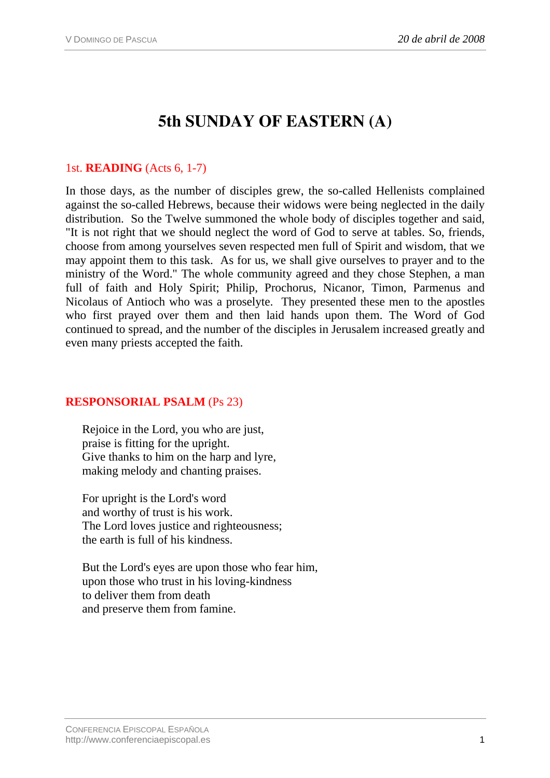# **5th SUNDAY OF EASTERN (A)**

## 1st. **READING** (Acts 6, 1-7)

In those days, as the number of disciples grew, the so-called Hellenists complained against the so-called Hebrews, because their widows were being neglected in the daily distribution. So the Twelve summoned the whole body of disciples together and said, "It is not right that we should neglect the word of God to serve at tables. So, friends, choose from among yourselves seven respected men full of Spirit and wisdom, that we may appoint them to this task. As for us, we shall give ourselves to prayer and to the ministry of the Word." The whole community agreed and they chose Stephen, a man full of faith and Holy Spirit; Philip, Prochorus, Nicanor, Timon, Parmenus and Nicolaus of Antioch who was a proselyte. They presented these men to the apostles who first prayed over them and then laid hands upon them. The Word of God continued to spread, and the number of the disciples in Jerusalem increased greatly and even many priests accepted the faith.

### **RESPONSORIAL PSALM** (Ps 23)

Rejoice in the Lord, you who are just, praise is fitting for the upright. Give thanks to him on the harp and lyre, making melody and chanting praises.

For upright is the Lord's word and worthy of trust is his work. The Lord loves justice and righteousness; the earth is full of his kindness.

But the Lord's eyes are upon those who fear him, upon those who trust in his loving-kindness to deliver them from death and preserve them from famine.